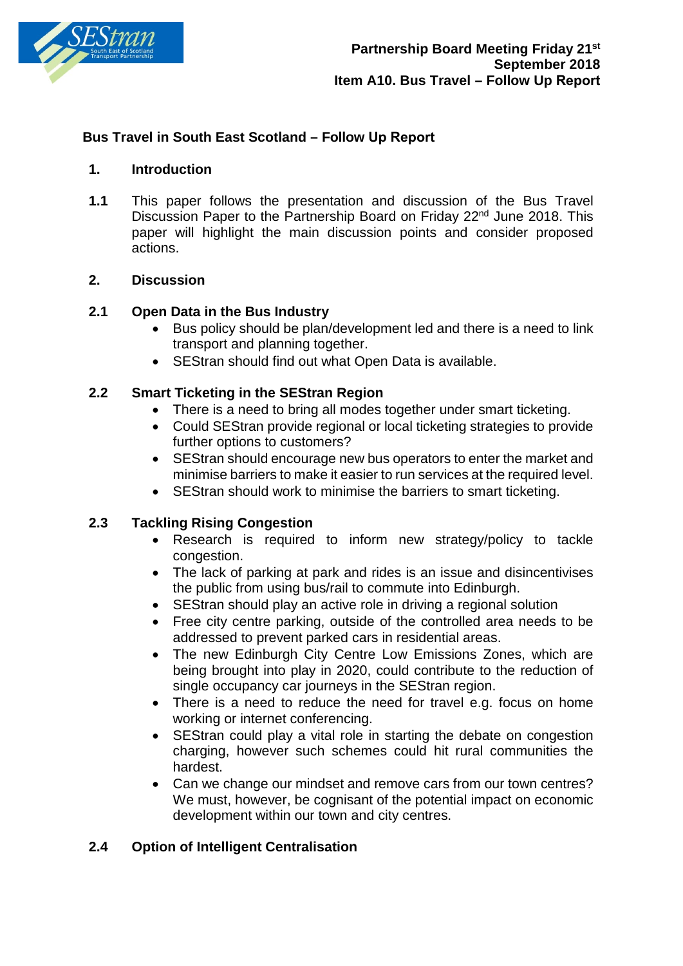

### **Bus Travel in South East Scotland – Follow Up Report**

#### **1. Introduction**

**1.1** This paper follows the presentation and discussion of the Bus Travel Discussion Paper to the Partnership Board on Friday 22<sup>nd</sup> June 2018. This paper will highlight the main discussion points and consider proposed actions.

#### **2. Discussion**

### **2.1 Open Data in the Bus Industry**

- Bus policy should be plan/development led and there is a need to link transport and planning together.
- SEStran should find out what Open Data is available.

### **2.2 Smart Ticketing in the SEStran Region**

- There is a need to bring all modes together under smart ticketing.
- Could SEStran provide regional or local ticketing strategies to provide further options to customers?
- SEStran should encourage new bus operators to enter the market and minimise barriers to make it easier to run services at the required level.
- SEStran should work to minimise the barriers to smart ticketing.

### **2.3 Tackling Rising Congestion**

- Research is required to inform new strategy/policy to tackle congestion.
- The lack of parking at park and rides is an issue and disincentivises the public from using bus/rail to commute into Edinburgh.
- SEStran should play an active role in driving a regional solution
- Free city centre parking, outside of the controlled area needs to be addressed to prevent parked cars in residential areas.
- The new Edinburgh City Centre Low Emissions Zones, which are being brought into play in 2020, could contribute to the reduction of single occupancy car journeys in the SEStran region.
- There is a need to reduce the need for travel e.g. focus on home working or internet conferencing.
- SEStran could play a vital role in starting the debate on congestion charging, however such schemes could hit rural communities the hardest.
- Can we change our mindset and remove cars from our town centres? We must, however, be cognisant of the potential impact on economic development within our town and city centres.

### **2.4 Option of Intelligent Centralisation**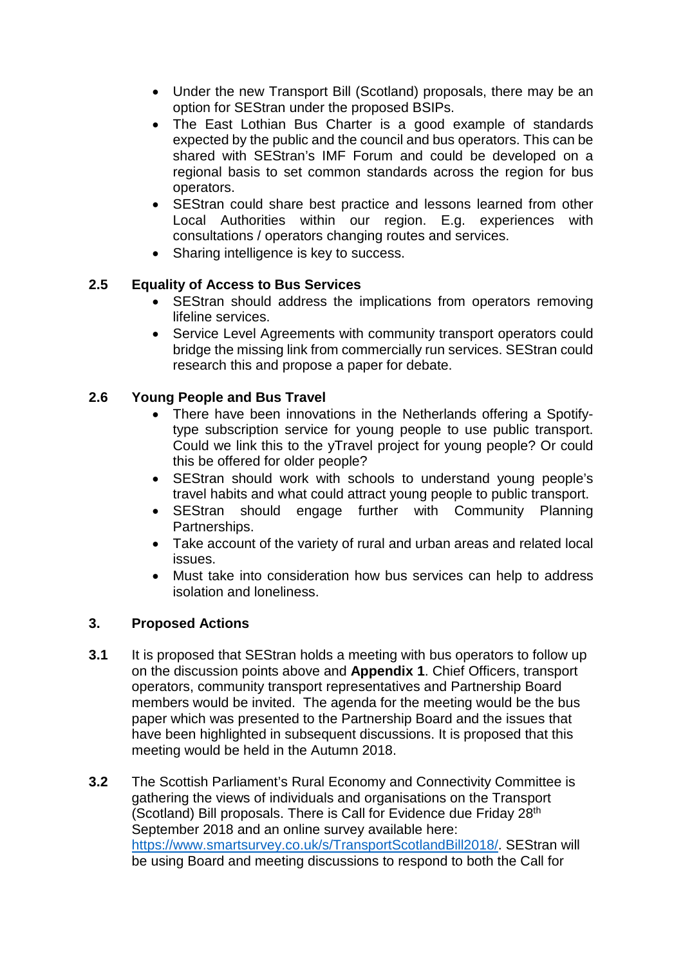- Under the new Transport Bill (Scotland) proposals, there may be an option for SEStran under the proposed BSIPs.
- The East Lothian Bus Charter is a good example of standards expected by the public and the council and bus operators. This can be shared with SEStran's IMF Forum and could be developed on a regional basis to set common standards across the region for bus operators.
- SEStran could share best practice and lessons learned from other Local Authorities within our region. E.g. experiences with consultations / operators changing routes and services.
- Sharing intelligence is key to success.

# **2.5 Equality of Access to Bus Services**

- SEStran should address the implications from operators removing lifeline services.
- Service Level Agreements with community transport operators could bridge the missing link from commercially run services. SEStran could research this and propose a paper for debate.

# **2.6 Young People and Bus Travel**

- There have been innovations in the Netherlands offering a Spotifytype subscription service for young people to use public transport. Could we link this to the yTravel project for young people? Or could this be offered for older people?
- SEStran should work with schools to understand young people's travel habits and what could attract young people to public transport.
- SEStran should engage further with Community Planning Partnerships.
- Take account of the variety of rural and urban areas and related local issues.
- Must take into consideration how bus services can help to address isolation and loneliness.

# **3. Proposed Actions**

- **3.1** It is proposed that SEStran holds a meeting with bus operators to follow up on the discussion points above and **Appendix 1**. Chief Officers, transport operators, community transport representatives and Partnership Board members would be invited. The agenda for the meeting would be the bus paper which was presented to the Partnership Board and the issues that have been highlighted in subsequent discussions. It is proposed that this meeting would be held in the Autumn 2018.
- **3.2** The Scottish Parliament's Rural Economy and Connectivity Committee is gathering the views of individuals and organisations on the Transport (Scotland) Bill proposals. There is Call for Evidence due Friday 28th September 2018 and an online survey available here: [https://www.smartsurvey.co.uk/s/TransportScotlandBill2018/.](https://www.smartsurvey.co.uk/s/TransportScotlandBill2018/) SEStran will be using Board and meeting discussions to respond to both the Call for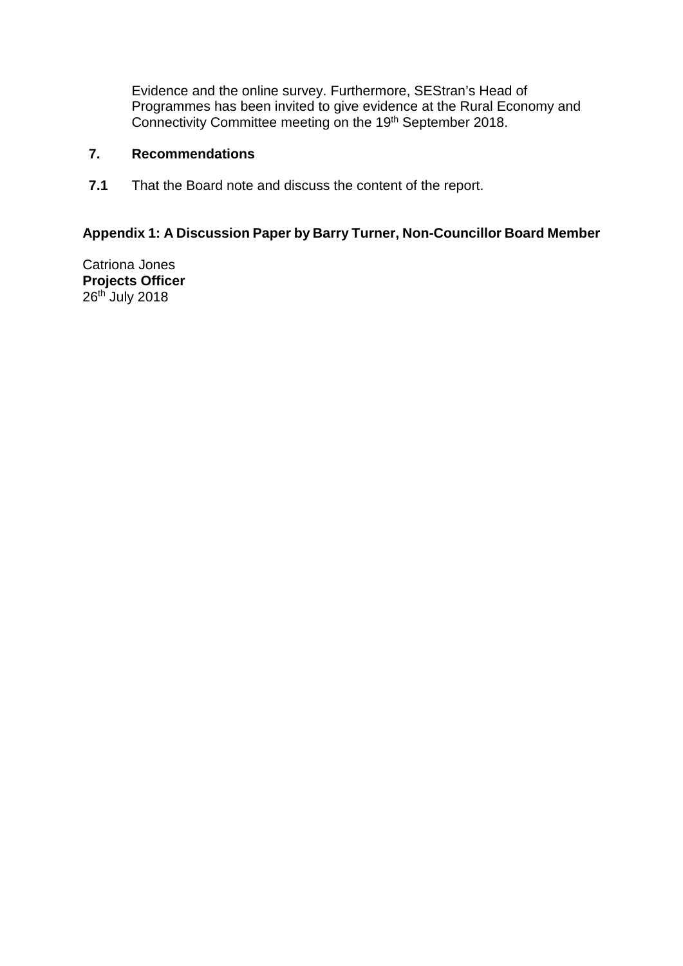Evidence and the online survey. Furthermore, SEStran's Head of Programmes has been invited to give evidence at the Rural Economy and Connectivity Committee meeting on the 19<sup>th</sup> September 2018.

## **7. Recommendations**

**7.1** That the Board note and discuss the content of the report.

## **Appendix 1: A Discussion Paper by Barry Turner, Non-Councillor Board Member**

Catriona Jones **Projects Officer** 26<sup>th</sup> July 2018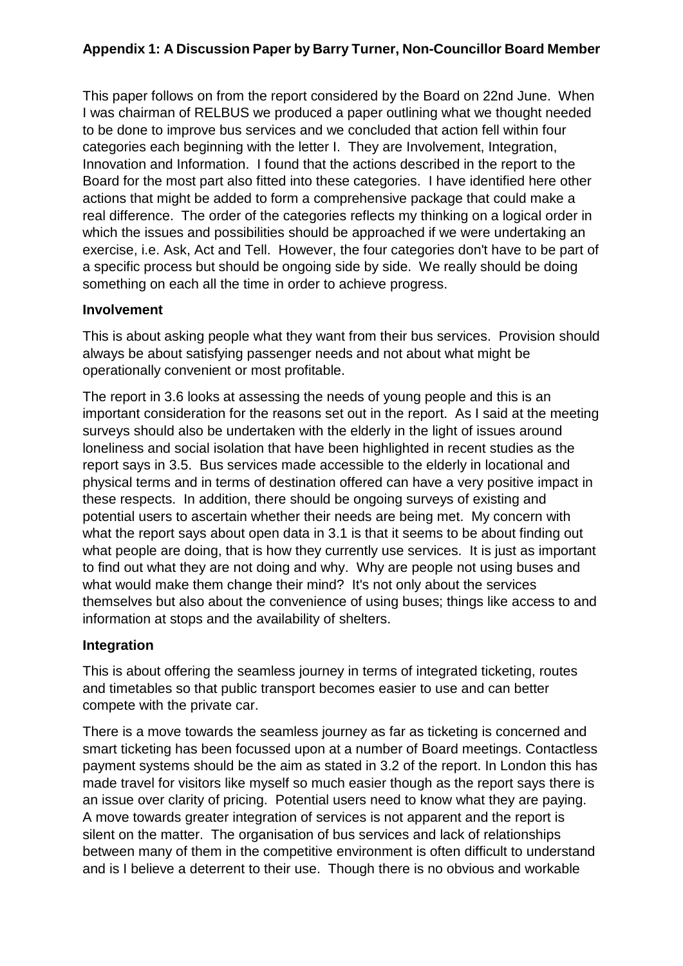# **Appendix 1: A Discussion Paper by Barry Turner, Non-Councillor Board Member**

This paper follows on from the report considered by the Board on 22nd June. When I was chairman of RELBUS we produced a paper outlining what we thought needed to be done to improve bus services and we concluded that action fell within four categories each beginning with the letter I. They are Involvement, Integration, Innovation and Information. I found that the actions described in the report to the Board for the most part also fitted into these categories. I have identified here other actions that might be added to form a comprehensive package that could make a real difference. The order of the categories reflects my thinking on a logical order in which the issues and possibilities should be approached if we were undertaking an exercise, i.e. Ask, Act and Tell. However, the four categories don't have to be part of a specific process but should be ongoing side by side. We really should be doing something on each all the time in order to achieve progress.

### **Involvement**

This is about asking people what they want from their bus services. Provision should always be about satisfying passenger needs and not about what might be operationally convenient or most profitable.

The report in 3.6 looks at assessing the needs of young people and this is an important consideration for the reasons set out in the report. As I said at the meeting surveys should also be undertaken with the elderly in the light of issues around loneliness and social isolation that have been highlighted in recent studies as the report says in 3.5. Bus services made accessible to the elderly in locational and physical terms and in terms of destination offered can have a very positive impact in these respects. In addition, there should be ongoing surveys of existing and potential users to ascertain whether their needs are being met. My concern with what the report says about open data in 3.1 is that it seems to be about finding out what people are doing, that is how they currently use services. It is just as important to find out what they are not doing and why. Why are people not using buses and what would make them change their mind? It's not only about the services themselves but also about the convenience of using buses; things like access to and information at stops and the availability of shelters.

# **Integration**

This is about offering the seamless journey in terms of integrated ticketing, routes and timetables so that public transport becomes easier to use and can better compete with the private car.

There is a move towards the seamless journey as far as ticketing is concerned and smart ticketing has been focussed upon at a number of Board meetings. Contactless payment systems should be the aim as stated in 3.2 of the report. In London this has made travel for visitors like myself so much easier though as the report says there is an issue over clarity of pricing. Potential users need to know what they are paying. A move towards greater integration of services is not apparent and the report is silent on the matter. The organisation of bus services and lack of relationships between many of them in the competitive environment is often difficult to understand and is I believe a deterrent to their use. Though there is no obvious and workable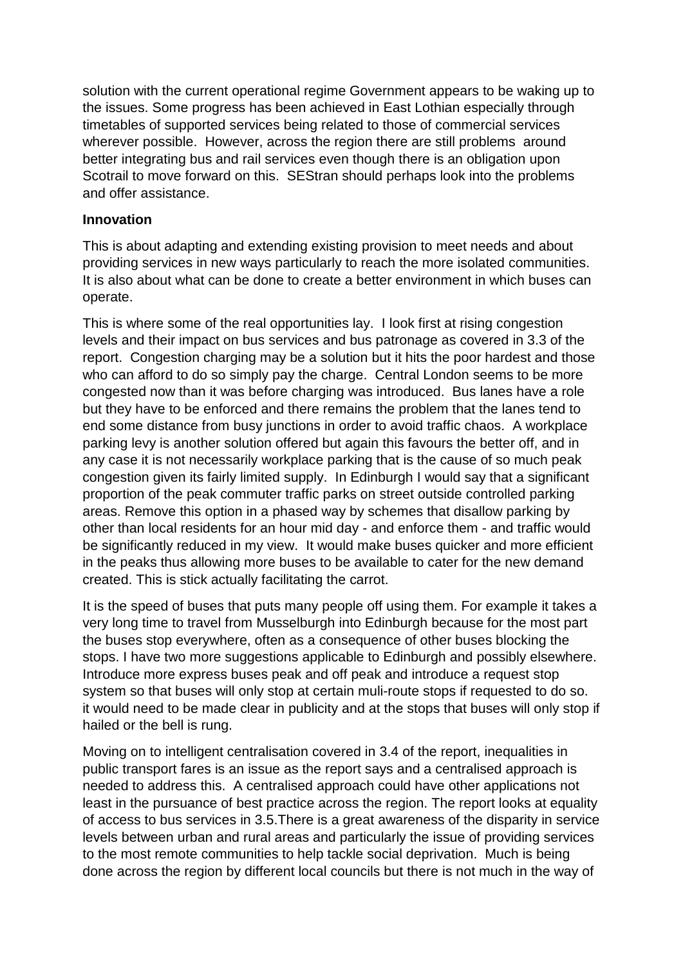solution with the current operational regime Government appears to be waking up to the issues. Some progress has been achieved in East Lothian especially through timetables of supported services being related to those of commercial services wherever possible. However, across the region there are still problems around better integrating bus and rail services even though there is an obligation upon Scotrail to move forward on this. SEStran should perhaps look into the problems and offer assistance.

## **Innovation**

This is about adapting and extending existing provision to meet needs and about providing services in new ways particularly to reach the more isolated communities. It is also about what can be done to create a better environment in which buses can operate.

This is where some of the real opportunities lay. I look first at rising congestion levels and their impact on bus services and bus patronage as covered in 3.3 of the report. Congestion charging may be a solution but it hits the poor hardest and those who can afford to do so simply pay the charge. Central London seems to be more congested now than it was before charging was introduced. Bus lanes have a role but they have to be enforced and there remains the problem that the lanes tend to end some distance from busy junctions in order to avoid traffic chaos. A workplace parking levy is another solution offered but again this favours the better off, and in any case it is not necessarily workplace parking that is the cause of so much peak congestion given its fairly limited supply. In Edinburgh I would say that a significant proportion of the peak commuter traffic parks on street outside controlled parking areas. Remove this option in a phased way by schemes that disallow parking by other than local residents for an hour mid day - and enforce them - and traffic would be significantly reduced in my view. It would make buses quicker and more efficient in the peaks thus allowing more buses to be available to cater for the new demand created. This is stick actually facilitating the carrot.

It is the speed of buses that puts many people off using them. For example it takes a very long time to travel from Musselburgh into Edinburgh because for the most part the buses stop everywhere, often as a consequence of other buses blocking the stops. I have two more suggestions applicable to Edinburgh and possibly elsewhere. Introduce more express buses peak and off peak and introduce a request stop system so that buses will only stop at certain muli-route stops if requested to do so. it would need to be made clear in publicity and at the stops that buses will only stop if hailed or the bell is rung.

Moving on to intelligent centralisation covered in 3.4 of the report, inequalities in public transport fares is an issue as the report says and a centralised approach is needed to address this. A centralised approach could have other applications not least in the pursuance of best practice across the region. The report looks at equality of access to bus services in 3.5.There is a great awareness of the disparity in service levels between urban and rural areas and particularly the issue of providing services to the most remote communities to help tackle social deprivation. Much is being done across the region by different local councils but there is not much in the way of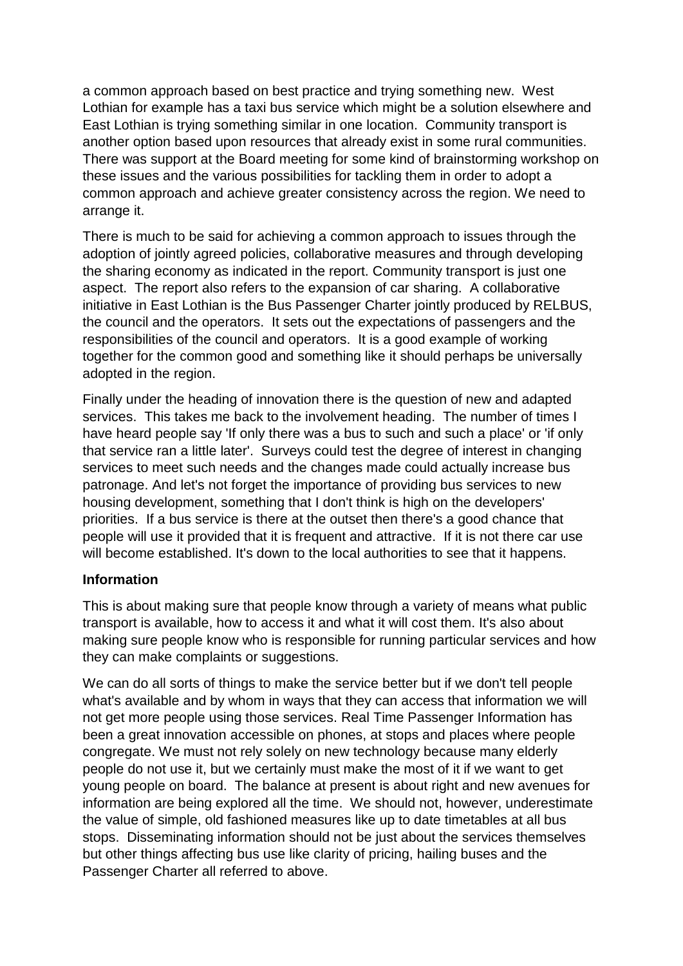a common approach based on best practice and trying something new. West Lothian for example has a taxi bus service which might be a solution elsewhere and East Lothian is trying something similar in one location. Community transport is another option based upon resources that already exist in some rural communities. There was support at the Board meeting for some kind of brainstorming workshop on these issues and the various possibilities for tackling them in order to adopt a common approach and achieve greater consistency across the region. We need to arrange it.

There is much to be said for achieving a common approach to issues through the adoption of jointly agreed policies, collaborative measures and through developing the sharing economy as indicated in the report. Community transport is just one aspect. The report also refers to the expansion of car sharing. A collaborative initiative in East Lothian is the Bus Passenger Charter jointly produced by RELBUS, the council and the operators. It sets out the expectations of passengers and the responsibilities of the council and operators. It is a good example of working together for the common good and something like it should perhaps be universally adopted in the region.

Finally under the heading of innovation there is the question of new and adapted services. This takes me back to the involvement heading. The number of times I have heard people say 'If only there was a bus to such and such a place' or 'if only that service ran a little later'. Surveys could test the degree of interest in changing services to meet such needs and the changes made could actually increase bus patronage. And let's not forget the importance of providing bus services to new housing development, something that I don't think is high on the developers' priorities. If a bus service is there at the outset then there's a good chance that people will use it provided that it is frequent and attractive. If it is not there car use will become established. It's down to the local authorities to see that it happens.

### **Information**

This is about making sure that people know through a variety of means what public transport is available, how to access it and what it will cost them. It's also about making sure people know who is responsible for running particular services and how they can make complaints or suggestions.

We can do all sorts of things to make the service better but if we don't tell people what's available and by whom in ways that they can access that information we will not get more people using those services. Real Time Passenger Information has been a great innovation accessible on phones, at stops and places where people congregate. We must not rely solely on new technology because many elderly people do not use it, but we certainly must make the most of it if we want to get young people on board. The balance at present is about right and new avenues for information are being explored all the time. We should not, however, underestimate the value of simple, old fashioned measures like up to date timetables at all bus stops. Disseminating information should not be just about the services themselves but other things affecting bus use like clarity of pricing, hailing buses and the Passenger Charter all referred to above.